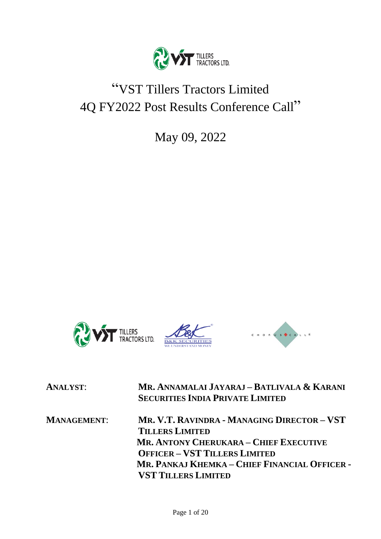

# "VST Tillers Tractors Limited 4Q FY2022 Post Results Conference Call"

May 09, 2022





# **ANALYST**: **MR. ANNAMALAI JAYARAJ – BATLIVALA & KARANI SECURITIES INDIA PRIVATE LIMITED**

**MANAGEMENT**: **MR. V.T. RAVINDRA - MANAGING DIRECTOR – VST TILLERS LIMITED MR. ANTONY CHERUKARA – CHIEF EXECUTIVE OFFICER – VST TILLERS LIMITED MR. PANKAJ KHEMKA – CHIEF FINANCIAL OFFICER - VST TILLERS LIMITED**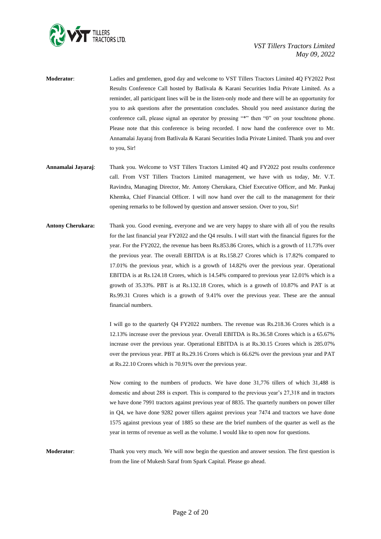

| <b>Moderator:</b> | Ladies and gentlemen, good day and welcome to VST Tillers Tractors Limited 4Q FY2022 Post            |
|-------------------|------------------------------------------------------------------------------------------------------|
|                   | Results Conference Call hosted by Batlivala & Karani Securities India Private Limited. As a          |
|                   | reminder, all participant lines will be in the listen-only mode and there will be an opportunity for |
|                   | you to ask questions after the presentation concludes. Should you need assistance during the         |
|                   | conference call, please signal an operator by pressing "*" then "0" on your touchtone phone.         |
|                   | Please note that this conference is being recorded. I now hand the conference over to Mr.            |
|                   | Annamalai Jayaraj from Batlivala & Karani Securities India Private Limited. Thank you and over       |
|                   | to you, Sir!                                                                                         |
|                   |                                                                                                      |

- **Annamalai Jayaraj**: Thank you. Welcome to VST Tillers Tractors Limited 4Q and FY2022 post results conference call. From VST Tillers Tractors Limited management, we have with us today, Mr. V.T. Ravindra, Managing Director, Mr. Antony Cherukara, Chief Executive Officer, and Mr. Pankaj Khemka, Chief Financial Officer. I will now hand over the call to the management for their opening remarks to be followed by question and answer session. Over to you, Sir!
- **Antony Cherukara:** Thank you. Good evening, everyone and we are very happy to share with all of you the results for the last financial year FY2022 and the Q4 results. I will start with the financial figures for the year. For the FY2022, the revenue has been Rs.853.86 Crores, which is a growth of 11.73% over the previous year. The overall EBITDA is at Rs.158.27 Crores which is 17.82% compared to 17.01% the previous year, which is a growth of 14.82% over the previous year. Operational EBITDA is at Rs.124.18 Crores, which is 14.54% compared to previous year 12.01% which is a growth of 35.33%. PBT is at Rs.132.18 Crores, which is a growth of 10.87% and PAT is at Rs.99.31 Crores which is a growth of 9.41% over the previous year. These are the annual financial numbers.

I will go to the quarterly Q4 FY2022 numbers. The revenue was Rs.218.36 Crores which is a 12.13% increase over the previous year. Overall EBITDA is Rs.36.58 Crores which is a 65.67% increase over the previous year. Operational EBITDA is at Rs.30.15 Crores which is 285.07% over the previous year. PBT at Rs.29.16 Crores which is 66.62% over the previous year and PAT at Rs.22.10 Crores which is 70.91% over the previous year.

Now coming to the numbers of products. We have done 31,776 tillers of which 31,488 is domestic and about 288 is export. This is compared to the previous year's 27,318 and in tractors we have done 7991 tractors against previous year of 8835. The quarterly numbers on power tiller in Q4, we have done 9282 power tillers against previous year 7474 and tractors we have done 1575 against previous year of 1885 so these are the brief numbers of the quarter as well as the year in terms of revenue as well as the volume. I would like to open now for questions.

**Moderator**: Thank you very much. We will now begin the question and answer session. The first question is from the line of Mukesh Saraf from Spark Capital. Please go ahead.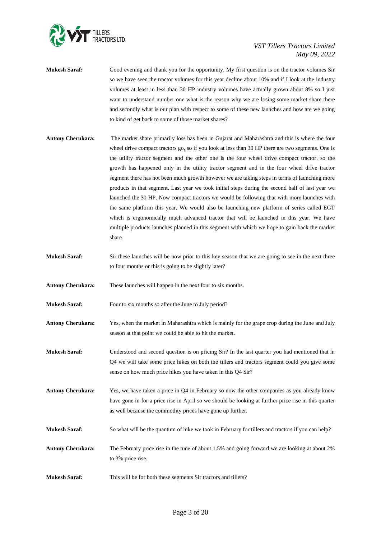

- **Mukesh Saraf:** Good evening and thank you for the opportunity. My first question is on the tractor volumes Sir so we have seen the tractor volumes for this year decline about 10% and if I look at the industry volumes at least in less than 30 HP industry volumes have actually grown about 8% so I just want to understand number one what is the reason why we are losing some market share there and secondly what is our plan with respect to some of these new launches and how are we going to kind of get back to some of those market shares?
- **Antony Cherukara:** The market share primarily loss has been in Gujarat and Maharashtra and this is where the four wheel drive compact tractors go, so if you look at less than 30 HP there are two segments. One is the utility tractor segment and the other one is the four wheel drive compact tractor. so the growth has happened only in the utility tractor segment and in the four wheel drive tractor segment there has not been much growth however we are taking steps in terms of launching more products in that segment. Last year we took initial steps during the second half of last year we launched the 30 HP. Now compact tractors we would be following that with more launches with the same platform this year. We would also be launching new platform of series called EGT which is ergonomically much advanced tractor that will be launched in this year. We have multiple products launches planned in this segment with which we hope to gain back the market share.
- **Mukesh Saraf:** Sir these launches will be now prior to this key season that we are going to see in the next three to four months or this is going to be slightly later?
- **Antony Cherukara:** These launches will happen in the next four to six months.
- **Mukesh Saraf:** Four to six months so after the June to July period?
- **Antony Cherukara:** Yes, when the market in Maharashtra which is mainly for the grape crop during the June and July season at that point we could be able to hit the market.
- **Mukesh Saraf:** Understood and second question is on pricing Sir? In the last quarter you had mentioned that in Q4 we will take some price hikes on both the tillers and tractors segment could you give some sense on how much price hikes you have taken in this Q4 Sir?
- **Antony Cherukara:** Yes, we have taken a price in Q4 in February so now the other companies as you already know have gone in for a price rise in April so we should be looking at further price rise in this quarter as well because the commodity prices have gone up further.
- **Mukesh Saraf:** So what will be the quantum of hike we took in February for tillers and tractors if you can help?
- **Antony Cherukara:** The February price rise in the tune of about 1.5% and going forward we are looking at about 2% to 3% price rise.
- **Mukesh Saraf:** This will be for both these segments Sir tractors and tillers?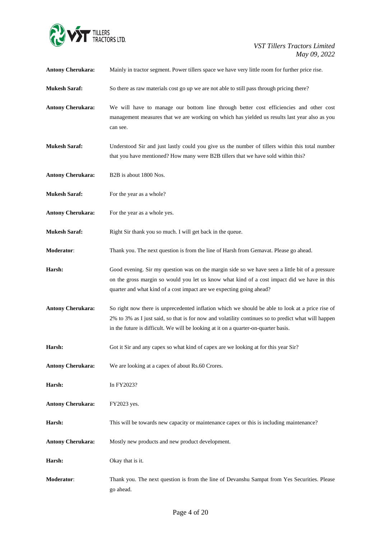

| <b>Antony Cherukara:</b> | Mainly in tractor segment. Power tillers space we have very little room for further price rise.                                                                                                                                                                                                |
|--------------------------|------------------------------------------------------------------------------------------------------------------------------------------------------------------------------------------------------------------------------------------------------------------------------------------------|
| <b>Mukesh Saraf:</b>     | So there as raw materials cost go up we are not able to still pass through pricing there?                                                                                                                                                                                                      |
| <b>Antony Cherukara:</b> | We will have to manage our bottom line through better cost efficiencies and other cost<br>management measures that we are working on which has yielded us results last year also as you<br>can see.                                                                                            |
| <b>Mukesh Saraf:</b>     | Understood Sir and just lastly could you give us the number of tillers within this total number<br>that you have mentioned? How many were B2B tillers that we have sold within this?                                                                                                           |
| <b>Antony Cherukara:</b> | B2B is about 1800 Nos.                                                                                                                                                                                                                                                                         |
| <b>Mukesh Saraf:</b>     | For the year as a whole?                                                                                                                                                                                                                                                                       |
| <b>Antony Cherukara:</b> | For the year as a whole yes.                                                                                                                                                                                                                                                                   |
| <b>Mukesh Saraf:</b>     | Right Sir thank you so much. I will get back in the queue.                                                                                                                                                                                                                                     |
| Moderator:               | Thank you. The next question is from the line of Harsh from Gemavat. Please go ahead.                                                                                                                                                                                                          |
| Harsh:                   | Good evening. Sir my question was on the margin side so we have seen a little bit of a pressure<br>on the gross margin so would you let us know what kind of a cost impact did we have in this<br>quarter and what kind of a cost impact are we expecting going ahead?                         |
| <b>Antony Cherukara:</b> | So right now there is unprecedented inflation which we should be able to look at a price rise of<br>2% to 3% as I just said, so that is for now and volatility continues so to predict what will happen<br>in the future is difficult. We will be looking at it on a quarter-on-quarter basis. |
| Harsh:                   | Got it Sir and any capex so what kind of capex are we looking at for this year Sir?                                                                                                                                                                                                            |
| <b>Antony Cherukara:</b> | We are looking at a capex of about Rs.60 Crores.                                                                                                                                                                                                                                               |
| Harsh:                   | In FY2023?                                                                                                                                                                                                                                                                                     |
| <b>Antony Cherukara:</b> | FY2023 yes.                                                                                                                                                                                                                                                                                    |
| Harsh:                   | This will be towards new capacity or maintenance capex or this is including maintenance?                                                                                                                                                                                                       |
| <b>Antony Cherukara:</b> | Mostly new products and new product development.                                                                                                                                                                                                                                               |
| Harsh:                   | Okay that is it.                                                                                                                                                                                                                                                                               |
| Moderator:               | Thank you. The next question is from the line of Devanshu Sampat from Yes Securities. Please<br>go ahead.                                                                                                                                                                                      |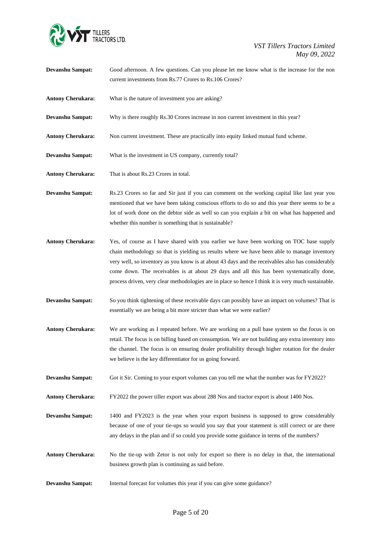

| <b>Devanshu Sampat:</b>  | Good afternoon. A few questions. Can you please let me know what is the increase for the non<br>current investments from Rs.77 Crores to Rs.106 Crores?                                                                                                                                                                                                                                                                                                                                           |
|--------------------------|---------------------------------------------------------------------------------------------------------------------------------------------------------------------------------------------------------------------------------------------------------------------------------------------------------------------------------------------------------------------------------------------------------------------------------------------------------------------------------------------------|
| Antony Cherukara:        | What is the nature of investment you are asking?                                                                                                                                                                                                                                                                                                                                                                                                                                                  |
| <b>Devanshu Sampat:</b>  | Why is there roughly Rs.30 Crores increase in non current investment in this year?                                                                                                                                                                                                                                                                                                                                                                                                                |
| <b>Antony Cherukara:</b> | Non current investment. These are practically into equity linked mutual fund scheme.                                                                                                                                                                                                                                                                                                                                                                                                              |
| <b>Devanshu Sampat:</b>  | What is the investment in US company, currently total?                                                                                                                                                                                                                                                                                                                                                                                                                                            |
| <b>Antony Cherukara:</b> | That is about Rs.23 Crores in total.                                                                                                                                                                                                                                                                                                                                                                                                                                                              |
| <b>Devanshu Sampat:</b>  | Rs.23 Crores so far and Sir just if you can comment on the working capital like last year you<br>mentioned that we have been taking conscious efforts to do so and this year there seems to be a<br>lot of work done on the debtor side as well so can you explain a bit on what has happened and<br>whether this number is something that is sustainable?                                                                                                                                        |
| <b>Antony Cherukara:</b> | Yes, of course as I have shared with you earlier we have been working on TOC base supply<br>chain methodology so that is yielding us results where we have been able to manage inventory<br>very well, so inventory as you know is at about 43 days and the receivables also has considerably<br>come down. The receivables is at about 29 days and all this has been systematically done,<br>process driven, very clear methodologies are in place so hence I think it is very much sustainable. |
| <b>Devanshu Sampat:</b>  | So you think tightening of these receivable days can possibly have an impact on volumes? That is<br>essentially we are being a bit more stricter than what we were earlier?                                                                                                                                                                                                                                                                                                                       |
| <b>Antony Cherukara:</b> | We are working as I repeated before. We are working on a pull base system so the focus is on<br>retail. The focus is on billing based on consumption. We are not building any extra inventory into<br>the channel. The focus is on ensuring dealer profitability through higher rotation for the dealer<br>we believe is the key differentiator for us going forward.                                                                                                                             |
| <b>Devanshu Sampat:</b>  | Got it Sir. Coming to your export volumes can you tell me what the number was for FY2022?                                                                                                                                                                                                                                                                                                                                                                                                         |
| <b>Antony Cherukara:</b> | FY2022 the power tiller export was about 288 Nos and tractor export is about 1400 Nos.                                                                                                                                                                                                                                                                                                                                                                                                            |
| <b>Devanshu Sampat:</b>  | 1400 and FY2023 is the year when your export business is supposed to grow considerably<br>because of one of your tie-ups so would you say that your statement is still correct or are there<br>any delays in the plan and if so could you provide some guidance in terms of the numbers?                                                                                                                                                                                                          |
| <b>Antony Cherukara:</b> | No the tie-up with Zetor is not only for export so there is no delay in that, the international<br>business growth plan is continuing as said before.                                                                                                                                                                                                                                                                                                                                             |
| <b>Devanshu Sampat:</b>  | Internal forecast for volumes this year if you can give some guidance?                                                                                                                                                                                                                                                                                                                                                                                                                            |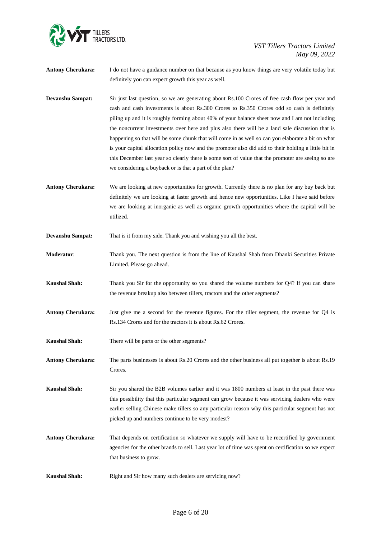

**Antony Cherukara:** I do not have a guidance number on that because as you know things are very volatile today but definitely you can expect growth this year as well.

**Devanshu Sampat:** Sir just last question, so we are generating about Rs.100 Crores of free cash flow per year and cash and cash investments is about Rs.300 Crores to Rs.350 Crores odd so cash is definitely piling up and it is roughly forming about 40% of your balance sheet now and I am not including the noncurrent investments over here and plus also there will be a land sale discussion that is happening so that will be some chunk that will come in as well so can you elaborate a bit on what is your capital allocation policy now and the promoter also did add to their holding a little bit in this December last year so clearly there is some sort of value that the promoter are seeing so are we considering a buyback or is that a part of the plan?

**Antony Cherukara:** We are looking at new opportunities for growth. Currently there is no plan for any buy back but definitely we are looking at faster growth and hence new opportunities. Like I have said before we are looking at inorganic as well as organic growth opportunities where the capital will be utilized.

**Devanshu Sampat:** That is it from my side. Thank you and wishing you all the best.

**Moderator**: Thank you. The next question is from the line of Kaushal Shah from Dhanki Securities Private Limited. Please go ahead.

**Kaushal Shah:** Thank you Sir for the opportunity so you shared the volume numbers for Q4? If you can share the revenue breakup also between tillers, tractors and the other segments?

**Antony Cherukara:** Just give me a second for the revenue figures. For the tiller segment, the revenue for Q4 is Rs.134 Crores and for the tractors it is about Rs.62 Crores.

**Kaushal Shah:** There will be parts or the other segments?

**Antony Cherukara:** The parts businesses is about Rs.20 Crores and the other business all put together is about Rs.19 Crores.

**Kaushal Shah:** Sir you shared the B2B volumes earlier and it was 1800 numbers at least in the past there was this possibility that this particular segment can grow because it was servicing dealers who were earlier selling Chinese make tillers so any particular reason why this particular segment has not picked up and numbers continue to be very modest?

- **Antony Cherukara:** That depends on certification so whatever we supply will have to be recertified by government agencies for the other brands to sell. Last year lot of time was spent on certification so we expect that business to grow.
- **Kaushal Shah:** Right and Sir how many such dealers are servicing now?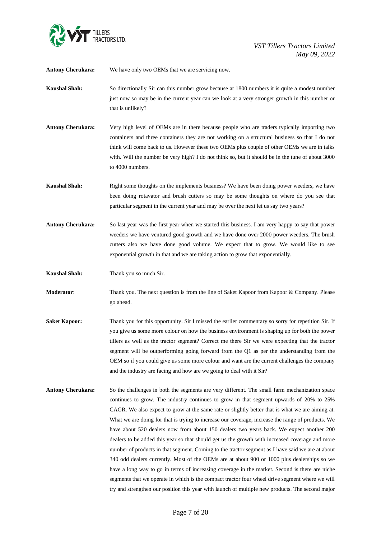

**Antony Cherukara:** We have only two OEMs that we are servicing now.

- **Kaushal Shah:** So directionally Sir can this number grow because at 1800 numbers it is quite a modest number just now so may be in the current year can we look at a very stronger growth in this number or that is unlikely?
- **Antony Cherukara:** Very high level of OEMs are in there because people who are traders typically importing two containers and three containers they are not working on a structural business so that I do not think will come back to us. However these two OEMs plus couple of other OEMs we are in talks with. Will the number be very high? I do not think so, but it should be in the tune of about 3000 to 4000 numbers.
- **Kaushal Shah:** Right some thoughts on the implements business? We have been doing power weeders, we have been doing rotavator and brush cutters so may be some thoughts on where do you see that particular segment in the current year and may be over the next let us say two years?
- **Antony Cherukara:** So last year was the first year when we started this business. I am very happy to say that power weeders we have ventured good growth and we have done over 2000 power weeders. The brush cutters also we have done good volume. We expect that to grow. We would like to see exponential growth in that and we are taking action to grow that exponentially.
- **Kaushal Shah:** Thank you so much Sir.
- **Moderator:** Thank you. The next question is from the line of Saket Kapoor from Kapoor & Company. Please go ahead.
- **Saket Kapoor:** Thank you for this opportunity. Sir I missed the earlier commentary so sorry for repetition Sir. If you give us some more colour on how the business environment is shaping up for both the power tillers as well as the tractor segment? Correct me there Sir we were expecting that the tractor segment will be outperforming going forward from the Q1 as per the understanding from the OEM so if you could give us some more colour and want are the current challenges the company and the industry are facing and how are we going to deal with it Sir?
- **Antony Cherukara:** So the challenges in both the segments are very different. The small farm mechanization space continues to grow. The industry continues to grow in that segment upwards of 20% to 25% CAGR. We also expect to grow at the same rate or slightly better that is what we are aiming at. What we are doing for that is trying to increase our coverage, increase the range of products. We have about 520 dealers now from about 150 dealers two years back. We expect another 200 dealers to be added this year so that should get us the growth with increased coverage and more number of products in that segment. Coming to the tractor segment as I have said we are at about 340 odd dealers currently. Most of the OEMs are at about 900 or 1000 plus dealerships so we have a long way to go in terms of increasing coverage in the market. Second is there are niche segments that we operate in which is the compact tractor four wheel drive segment where we will try and strengthen our position this year with launch of multiple new products. The second major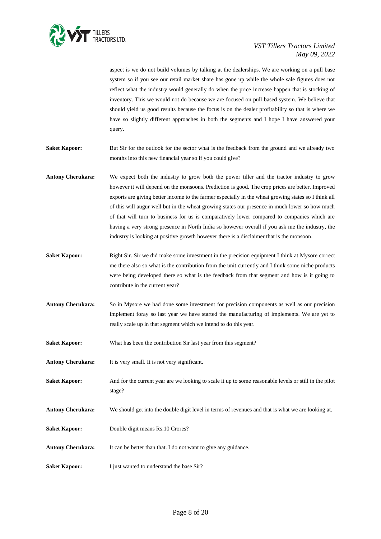

aspect is we do not build volumes by talking at the dealerships. We are working on a pull base system so if you see our retail market share has gone up while the whole sale figures does not reflect what the industry would generally do when the price increase happen that is stocking of inventory. This we would not do because we are focused on pull based system. We believe that should yield us good results because the focus is on the dealer profitability so that is where we have so slightly different approaches in both the segments and I hope I have answered your query.

**Saket Kapoor:** But Sir for the outlook for the sector what is the feedback from the ground and we already two months into this new financial year so if you could give?

- **Antony Cherukara:** We expect both the industry to grow both the power tiller and the tractor industry to grow however it will depend on the monsoons. Prediction is good. The crop prices are better. Improved exports are giving better income to the farmer especially in the wheat growing states so I think all of this will augur well but in the wheat growing states our presence in much lower so how much of that will turn to business for us is comparatively lower compared to companies which are having a very strong presence in North India so however overall if you ask me the industry, the industry is looking at positive growth however there is a disclaimer that is the monsoon.
- **Saket Kapoor:** Right Sir. Sir we did make some investment in the precision equipment I think at Mysore correct me there also so what is the contribution from the unit currently and I think some niche products were being developed there so what is the feedback from that segment and how is it going to contribute in the current year?
- **Antony Cherukara:** So in Mysore we had done some investment for precision components as well as our precision implement foray so last year we have started the manufacturing of implements. We are yet to really scale up in that segment which we intend to do this year.
- Saket Kapoor: What has been the contribution Sir last year from this segment?
- **Antony Cherukara:** It is very small. It is not very significant.
- **Saket Kapoor:** And for the current year are we looking to scale it up to some reasonable levels or still in the pilot stage?
- **Antony Cherukara:** We should get into the double digit level in terms of revenues and that is what we are looking at.
- **Saket Kapoor:** Double digit means Rs.10 Crores?
- **Antony Cherukara:** It can be better than that. I do not want to give any guidance.
- **Saket Kapoor:** I just wanted to understand the base Sir?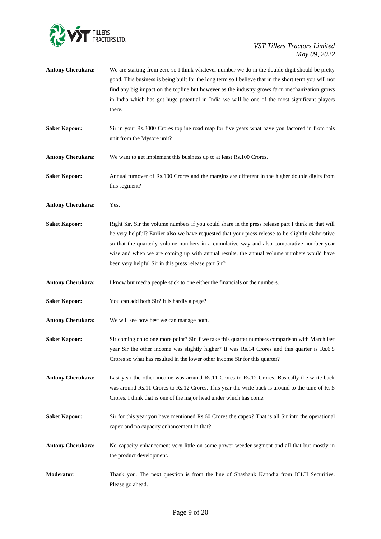

| <b>Antony Cherukara:</b> | We are starting from zero so I think whatever number we do in the double digit should be pretty<br>good. This business is being built for the long term so I believe that in the short term you will not<br>find any big impact on the topline but however as the industry grows farm mechanization grows<br>in India which has got huge potential in India we will be one of the most significant players<br>there.                                        |
|--------------------------|-------------------------------------------------------------------------------------------------------------------------------------------------------------------------------------------------------------------------------------------------------------------------------------------------------------------------------------------------------------------------------------------------------------------------------------------------------------|
| <b>Saket Kapoor:</b>     | Sir in your Rs.3000 Crores topline road map for five years what have you factored in from this<br>unit from the Mysore unit?                                                                                                                                                                                                                                                                                                                                |
| <b>Antony Cherukara:</b> | We want to get implement this business up to at least Rs.100 Crores.                                                                                                                                                                                                                                                                                                                                                                                        |
| <b>Saket Kapoor:</b>     | Annual turnover of Rs.100 Crores and the margins are different in the higher double digits from<br>this segment?                                                                                                                                                                                                                                                                                                                                            |
| <b>Antony Cherukara:</b> | Yes.                                                                                                                                                                                                                                                                                                                                                                                                                                                        |
| <b>Saket Kapoor:</b>     | Right Sir. Sir the volume numbers if you could share in the press release part I think so that will<br>be very helpful? Earlier also we have requested that your press release to be slightly elaborative<br>so that the quarterly volume numbers in a cumulative way and also comparative number year<br>wise and when we are coming up with annual results, the annual volume numbers would have<br>been very helpful Sir in this press release part Sir? |
| <b>Antony Cherukara:</b> | I know but media people stick to one either the financials or the numbers.                                                                                                                                                                                                                                                                                                                                                                                  |
| <b>Saket Kapoor:</b>     | You can add both Sir? It is hardly a page?                                                                                                                                                                                                                                                                                                                                                                                                                  |
| <b>Antony Cherukara:</b> | We will see how best we can manage both.                                                                                                                                                                                                                                                                                                                                                                                                                    |
| <b>Saket Kapoor:</b>     | Sir coming on to one more point? Sir if we take this quarter numbers comparison with March last<br>year Sir the other income was slightly higher? It was Rs.14 Crores and this quarter is Rs.6.5<br>Crores so what has resulted in the lower other income Sir for this quarter?                                                                                                                                                                             |
| <b>Antony Cherukara:</b> | Last year the other income was around Rs.11 Crores to Rs.12 Crores. Basically the write back<br>was around Rs.11 Crores to Rs.12 Crores. This year the write back is around to the tune of Rs.5<br>Crores. I think that is one of the major head under which has come.                                                                                                                                                                                      |
| <b>Saket Kapoor:</b>     | Sir for this year you have mentioned Rs.60 Crores the capex? That is all Sir into the operational<br>capex and no capacity enhancement in that?                                                                                                                                                                                                                                                                                                             |
| <b>Antony Cherukara:</b> | No capacity enhancement very little on some power weeder segment and all that but mostly in<br>the product development.                                                                                                                                                                                                                                                                                                                                     |
| <b>Moderator:</b>        | Thank you. The next question is from the line of Shashank Kanodia from ICICI Securities.<br>Please go ahead.                                                                                                                                                                                                                                                                                                                                                |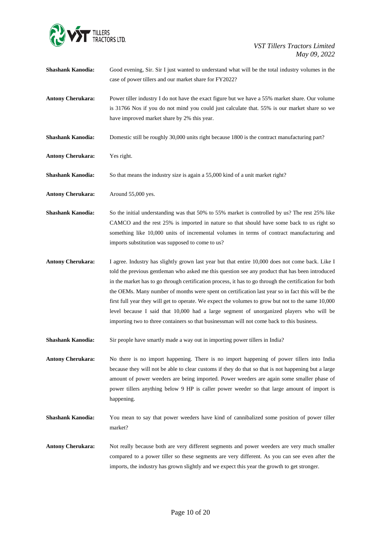

| <b>Shashank Kanodia:</b> | Good evening, Sir. Sir I just wanted to understand what will be the total industry volumes in the<br>case of power tillers and our market share for FY2022?                                                                                                                                                                                                                                                                                                                                                                                                                                                                                                                                                       |
|--------------------------|-------------------------------------------------------------------------------------------------------------------------------------------------------------------------------------------------------------------------------------------------------------------------------------------------------------------------------------------------------------------------------------------------------------------------------------------------------------------------------------------------------------------------------------------------------------------------------------------------------------------------------------------------------------------------------------------------------------------|
| <b>Antony Cherukara:</b> | Power tiller industry I do not have the exact figure but we have a 55% market share. Our volume<br>is 31766 Nos if you do not mind you could just calculate that. 55% is our market share so we<br>have improved market share by 2% this year.                                                                                                                                                                                                                                                                                                                                                                                                                                                                    |
| <b>Shashank Kanodia:</b> | Domestic still be roughly 30,000 units right because 1800 is the contract manufacturing part?                                                                                                                                                                                                                                                                                                                                                                                                                                                                                                                                                                                                                     |
| <b>Antony Cherukara:</b> | Yes right.                                                                                                                                                                                                                                                                                                                                                                                                                                                                                                                                                                                                                                                                                                        |
| <b>Shashank Kanodia:</b> | So that means the industry size is again a 55,000 kind of a unit market right?                                                                                                                                                                                                                                                                                                                                                                                                                                                                                                                                                                                                                                    |
| <b>Antony Cherukara:</b> | Around 55,000 yes.                                                                                                                                                                                                                                                                                                                                                                                                                                                                                                                                                                                                                                                                                                |
| <b>Shashank Kanodia:</b> | So the initial understanding was that 50% to 55% market is controlled by us? The rest 25% like<br>CAMCO and the rest 25% is imported in nature so that should have some back to us right so<br>something like 10,000 units of incremental volumes in terms of contract manufacturing and<br>imports substitution was supposed to come to us?                                                                                                                                                                                                                                                                                                                                                                      |
| <b>Antony Cherukara:</b> | I agree. Industry has slightly grown last year but that entire 10,000 does not come back. Like I<br>told the previous gentleman who asked me this question see any product that has been introduced<br>in the market has to go through certification process, it has to go through the certification for both<br>the OEMs. Many number of months were spent on certification last year so in fact this will be the<br>first full year they will get to operate. We expect the volumes to grow but not to the same 10,000<br>level because I said that 10,000 had a large segment of unorganized players who will be<br>importing two to three containers so that businessman will not come back to this business. |
| <b>Shashank Kanodia:</b> | Sir people have smartly made a way out in importing power tillers in India?                                                                                                                                                                                                                                                                                                                                                                                                                                                                                                                                                                                                                                       |
| <b>Antony Cherukara:</b> | No there is no import happening. There is no import happening of power tillers into India<br>because they will not be able to clear customs if they do that so that is not happening but a large<br>amount of power weeders are being imported. Power weeders are again some smaller phase of<br>power tillers anything below 9 HP is caller power weeder so that large amount of import is<br>happening.                                                                                                                                                                                                                                                                                                         |
| <b>Shashank Kanodia:</b> | You mean to say that power weeders have kind of cannibalized some position of power tiller<br>market?                                                                                                                                                                                                                                                                                                                                                                                                                                                                                                                                                                                                             |
| <b>Antony Cherukara:</b> | Not really because both are very different segments and power weeders are very much smaller<br>compared to a power tiller so these segments are very different. As you can see even after the<br>imports, the industry has grown slightly and we expect this year the growth to get stronger.                                                                                                                                                                                                                                                                                                                                                                                                                     |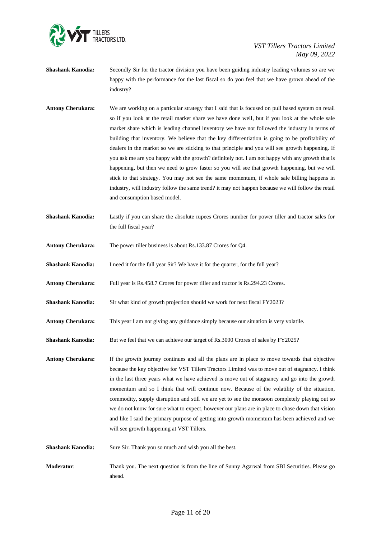

- **Shashank Kanodia:** Secondly Sir for the tractor division you have been guiding industry leading volumes so are we happy with the performance for the last fiscal so do you feel that we have grown ahead of the industry?
- Antony Cherukara: We are working on a particular strategy that I said that is focused on pull based system on retail so if you look at the retail market share we have done well, but if you look at the whole sale market share which is leading channel inventory we have not followed the industry in terms of building that inventory. We believe that the key differentiation is going to be profitability of dealers in the market so we are sticking to that principle and you will see growth happening. If you ask me are you happy with the growth? definitely not. I am not happy with any growth that is happening, but then we need to grow faster so you will see that growth happening, but we will stick to that strategy. You may not see the same momentum, if whole sale billing happens in industry, will industry follow the same trend? it may not happen because we will follow the retail and consumption based model.
- **Shashank Kanodia:** Lastly if you can share the absolute rupees Crores number for power tiller and tractor sales for the full fiscal year?
- **Antony Cherukara:** The power tiller business is about Rs.133.87 Crores for Q4.
- **Shashank Kanodia:** I need it for the full year Sir? We have it for the quarter, for the full year?
- **Antony Cherukara:** Full year is Rs.458.7 Crores for power tiller and tractor is Rs.294.23 Crores.
- **Shashank Kanodia:** Sir what kind of growth projection should we work for next fiscal FY2023?
- **Antony Cherukara:** This year I am not giving any guidance simply because our situation is very volatile.
- **Shashank Kanodia:** But we feel that we can achieve our target of Rs.3000 Crores of sales by FY2025?
- **Antony Cherukara:** If the growth journey continues and all the plans are in place to move towards that objective because the key objective for VST Tillers Tractors Limited was to move out of stagnancy. I think in the last three years what we have achieved is move out of stagnancy and go into the growth momentum and so I think that will continue now. Because of the volatility of the situation, commodity, supply disruption and still we are yet to see the monsoon completely playing out so we do not know for sure what to expect, however our plans are in place to chase down that vision and like I said the primary purpose of getting into growth momentum has been achieved and we will see growth happening at VST Tillers.
- **Shashank Kanodia:** Sure Sir. Thank you so much and wish you all the best.
- **Moderator**: Thank you. The next question is from the line of Sunny Agarwal from SBI Securities. Please go ahead.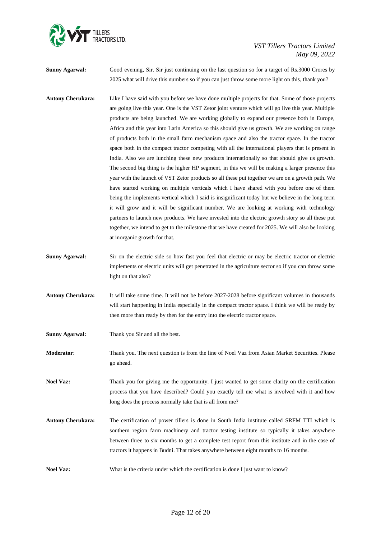

**Sunny Agarwal:** Good evening, Sir. Sir just continuing on the last question so for a target of Rs.3000 Crores by 2025 what will drive this numbers so if you can just throw some more light on this, thank you?

- **Antony Cherukara:** Like I have said with you before we have done multiple projects for that. Some of those projects are going live this year. One is the VST Zetor joint venture which will go live this year. Multiple products are being launched. We are working globally to expand our presence both in Europe, Africa and this year into Latin America so this should give us growth. We are working on range of products both in the small farm mechanism space and also the tractor space. In the tractor space both in the compact tractor competing with all the international players that is present in India. Also we are lunching these new products internationally so that should give us growth. The second big thing is the higher HP segment, in this we will be making a larger presence this year with the launch of VST Zetor products so all these put together we are on a growth path. We have started working on multiple verticals which I have shared with you before one of them being the implements vertical which I said is insignificant today but we believe in the long term it will grow and it will be significant number. We are looking at working with technology partners to launch new products. We have invested into the electric growth story so all these put together, we intend to get to the milestone that we have created for 2025. We will also be looking at inorganic growth for that.
- **Sunny Agarwal:** Sir on the electric side so how fast you feel that electric or may be electric tractor or electric implements or electric units will get penetrated in the agriculture sector so if you can throw some light on that also?
- **Antony Cherukara:** It will take some time. It will not be before 2027-2028 before significant volumes in thousands will start happening in India especially in the compact tractor space. I think we will be ready by then more than ready by then for the entry into the electric tractor space.
- **Sunny Agarwal:** Thank you Sir and all the best.
- **Moderator**: Thank you. The next question is from the line of Noel Vaz from Asian Market Securities. Please go ahead.
- Noel Vaz: Thank you for giving me the opportunity. I just wanted to get some clarity on the certification process that you have described? Could you exactly tell me what is involved with it and how long does the process normally take that is all from me?
- **Antony Cherukara:** The certification of power tillers is done in South India institute called SRFM TTI which is southern region farm machinery and tractor testing institute so typically it takes anywhere between three to six months to get a complete test report from this institute and in the case of tractors it happens in Budni. That takes anywhere between eight months to 16 months.
- **Noel Vaz:** What is the criteria under which the certification is done I just want to know?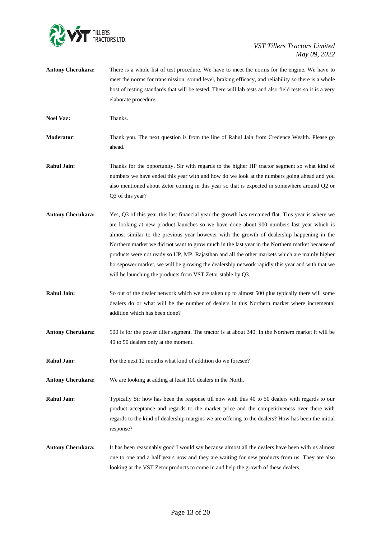

**Antony Cherukara:** There is a whole list of test procedure. We have to meet the norms for the engine. We have to meet the norms for transmission, sound level, braking efficacy, and reliability so there is a whole host of testing standards that will be tested. There will lab tests and also field tests so it is a very elaborate procedure.

Noel Vaz: Thanks.

**Moderator**: Thank you. The next question is from the line of Rahul Jain from Credence Wealth. Please go ahead.

- **Rahul Jain:** Thanks for the opportunity. Sir with regards to the higher HP tractor segment so what kind of numbers we have ended this year with and how do we look at the numbers going ahead and you also mentioned about Zetor coming in this year so that is expected in somewhere around Q2 or Q3 of this year?
- **Antony Cherukara:** Yes, Q3 of this year this last financial year the growth has remained flat. This year is where we are looking at new product launches so we have done about 900 numbers last year which is almost similar to the previous year however with the growth of dealership happening in the Northern market we did not want to grow much in the last year in the Northern market because of products were not ready so UP, MP, Rajasthan and all the other markets which are mainly higher horsepower market, we will be growing the dealership network rapidly this year and with that we will be launching the products from VST Zetor stable by Q3.
- **Rahul Jain:** So out of the dealer network which we are taken up to almost 500 plus typically there will some dealers do or what will be the number of dealers in this Northern market where incremental addition which has been done?
- **Antony Cherukara:** 500 is for the power tiller segment. The tractor is at about 340. In the Northern market it will be 40 to 50 dealers only at the moment.

**Rahul Jain:** For the next 12 months what kind of addition do we foresee?

**Antony Cherukara:** We are looking at adding at least 100 dealers in the North.

**Rahul Jain:** Typically Sir how has been the response till now with this 40 to 50 dealers with regards to our product acceptance and regards to the market price and the competitiveness over there with regards to the kind of dealership margins we are offering to the dealers? How has been the initial response?

**Antony Cherukara:** It has been reasonably good I would say because almost all the dealers have been with us almost one to one and a half years now and they are waiting for new products from us. They are also looking at the VST Zetor products to come in and help the growth of these dealers.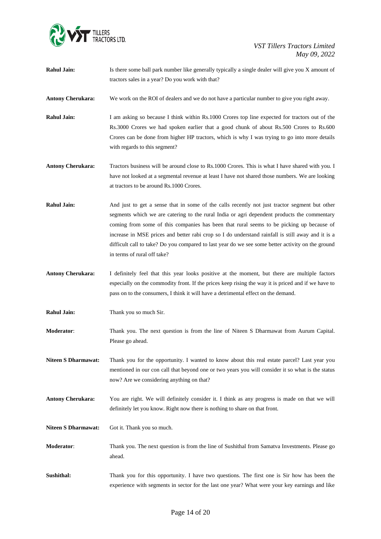

| <b>Rahul Jain:</b>         | Is there some ball park number like generally typically a single dealer will give you X amount of<br>tractors sales in a year? Do you work with that?                                                                                                                                                                                                                                                                                                                                                                             |
|----------------------------|-----------------------------------------------------------------------------------------------------------------------------------------------------------------------------------------------------------------------------------------------------------------------------------------------------------------------------------------------------------------------------------------------------------------------------------------------------------------------------------------------------------------------------------|
| <b>Antony Cherukara:</b>   | We work on the ROI of dealers and we do not have a particular number to give you right away.                                                                                                                                                                                                                                                                                                                                                                                                                                      |
| <b>Rahul Jain:</b>         | I am asking so because I think within Rs.1000 Crores top line expected for tractors out of the<br>Rs.3000 Crores we had spoken earlier that a good chunk of about Rs.500 Crores to Rs.600<br>Crores can be done from higher HP tractors, which is why I was trying to go into more details<br>with regards to this segment?                                                                                                                                                                                                       |
| <b>Antony Cherukara:</b>   | Tractors business will be around close to Rs.1000 Crores. This is what I have shared with you. I<br>have not looked at a segmental revenue at least I have not shared those numbers. We are looking<br>at tractors to be around Rs.1000 Crores.                                                                                                                                                                                                                                                                                   |
| <b>Rahul Jain:</b>         | And just to get a sense that in some of the calls recently not just tractor segment but other<br>segments which we are catering to the rural India or agri dependent products the commentary<br>coming from some of this companies has been that rural seems to be picking up because of<br>increase in MSE prices and better rabi crop so I do understand rainfall is still away and it is a<br>difficult call to take? Do you compared to last year do we see some better activity on the ground<br>in terms of rural off take? |
| <b>Antony Cherukara:</b>   | I definitely feel that this year looks positive at the moment, but there are multiple factors<br>especially on the commodity front. If the prices keep rising the way it is priced and if we have to<br>pass on to the consumers, I think it will have a detrimental effect on the demand.                                                                                                                                                                                                                                        |
| <b>Rahul Jain:</b>         | Thank you so much Sir.                                                                                                                                                                                                                                                                                                                                                                                                                                                                                                            |
| Moderator:                 | Thank you. The next question is from the line of Niteen S Dharmawat from Aurum Capital.<br>Please go ahead.                                                                                                                                                                                                                                                                                                                                                                                                                       |
| <b>Niteen S Dharmawat:</b> | Thank you for the opportunity. I wanted to know about this real estate parcel? Last year you<br>mentioned in our con call that beyond one or two years you will consider it so what is the status<br>now? Are we considering anything on that?                                                                                                                                                                                                                                                                                    |
| <b>Antony Cherukara:</b>   | You are right. We will definitely consider it. I think as any progress is made on that we will<br>definitely let you know. Right now there is nothing to share on that front.                                                                                                                                                                                                                                                                                                                                                     |
| <b>Niteen S Dharmawat:</b> | Got it. Thank you so much.                                                                                                                                                                                                                                                                                                                                                                                                                                                                                                        |
| Moderator:                 | Thank you. The next question is from the line of Sushithal from Samatva Investments. Please go<br>ahead.                                                                                                                                                                                                                                                                                                                                                                                                                          |
| Sushithal:                 | Thank you for this opportunity. I have two questions. The first one is Sir how has been the<br>experience with segments in sector for the last one year? What were your key earnings and like                                                                                                                                                                                                                                                                                                                                     |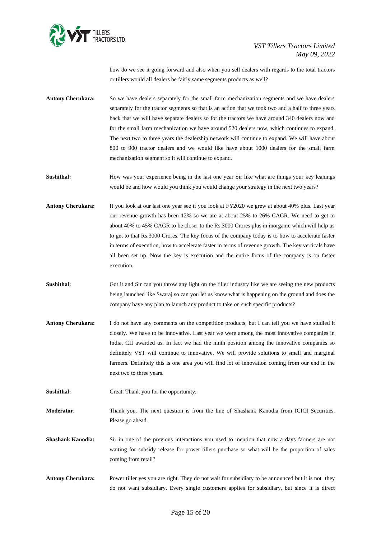

how do we see it going forward and also when you sell dealers with regards to the total tractors or tillers would all dealers be fairly same segments products as well?

- **Antony Cherukara:** So we have dealers separately for the small farm mechanization segments and we have dealers separately for the tractor segments so that is an action that we took two and a half to three years back that we will have separate dealers so for the tractors we have around 340 dealers now and for the small farm mechanization we have around 520 dealers now, which continues to expand. The next two to three years the dealership network will continue to expand. We will have about 800 to 900 tractor dealers and we would like have about 1000 dealers for the small farm mechanization segment so it will continue to expand.
- **Sushithal:** How was your experience being in the last one year Sir like what are things your key leanings would be and how would you think you would change your strategy in the next two years?
- **Antony Cherukara:** If you look at our last one year see if you look at FY2020 we grew at about 40% plus. Last year our revenue growth has been 12% so we are at about 25% to 26% CAGR. We need to get to about 40% to 45% CAGR to be closer to the Rs.3000 Crores plus in inorganic which will help us to get to that Rs.3000 Crores. The key focus of the company today is to how to accelerate faster in terms of execution, how to accelerate faster in terms of revenue growth. The key verticals have all been set up. Now the key is execution and the entire focus of the company is on faster execution.
- **Sushithal:** Got it and Sir can you throw any light on the tiller industry like we are seeing the new products being launched like Swaraj so can you let us know what is happening on the ground and does the company have any plan to launch any product to take on such specific products?
- **Antony Cherukara:** I do not have any comments on the competition products, but I can tell you we have studied it closely. We have to be innovative. Last year we were among the most innovative companies in India, CII awarded us. In fact we had the ninth position among the innovative companies so definitely VST will continue to innovative. We will provide solutions to small and marginal farmers. Definitely this is one area you will find lot of innovation coming from our end in the next two to three years.
- **Sushithal:** Great. Thank you for the opportunity.
- **Moderator:** Thank you. The next question is from the line of Shashank Kanodia from ICICI Securities. Please go ahead.
- **Shashank Kanodia:** Sir in one of the previous interactions you used to mention that now a days farmers are not waiting for subsidy release for power tillers purchase so what will be the proportion of sales coming from retail?
- **Antony Cherukara:** Power tiller yes you are right. They do not wait for subsidiary to be announced but it is not they do not want subsidiary. Every single customers applies for subsidiary, but since it is direct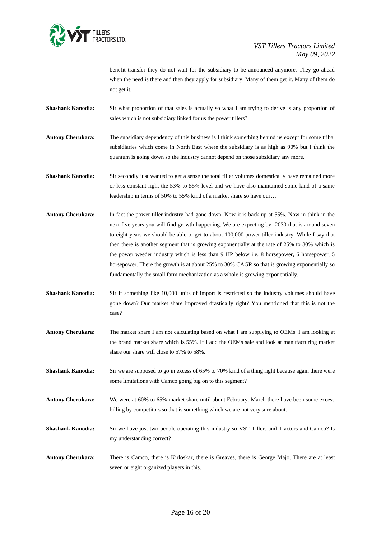

benefit transfer they do not wait for the subsidiary to be announced anymore. They go ahead when the need is there and then they apply for subsidiary. Many of them get it. Many of them do not get it.

- **Shashank Kanodia:** Sir what proportion of that sales is actually so what I am trying to derive is any proportion of sales which is not subsidiary linked for us the power tillers?
- **Antony Cherukara:** The subsidiary dependency of this business is I think something behind us except for some tribal subsidiaries which come in North East where the subsidiary is as high as 90% but I think the quantum is going down so the industry cannot depend on those subsidiary any more.
- **Shashank Kanodia:** Sir secondly just wanted to get a sense the total tiller volumes domestically have remained more or less constant right the 53% to 55% level and we have also maintained some kind of a same leadership in terms of 50% to 55% kind of a market share so have our…
- **Antony Cherukara:** In fact the power tiller industry had gone down. Now it is back up at 55%. Now in think in the next five years you will find growth happening. We are expecting by 2030 that is around seven to eight years we should be able to get to about 100,000 power tiller industry. While I say that then there is another segment that is growing exponentially at the rate of 25% to 30% which is the power weeder industry which is less than 9 HP below i.e. 8 horsepower, 6 horsepower, 5 horsepower. There the growth is at about 25% to 30% CAGR so that is growing exponentially so fundamentally the small farm mechanization as a whole is growing exponentially.
- **Shashank Kanodia:** Sir if something like 10,000 units of import is restricted so the industry volumes should have gone down? Our market share improved drastically right? You mentioned that this is not the case?
- **Antony Cherukara:** The market share I am not calculating based on what I am supplying to OEMs. I am looking at the brand market share which is 55%. If I add the OEMs sale and look at manufacturing market share our share will close to 57% to 58%.
- **Shashank Kanodia:** Sir we are supposed to go in excess of 65% to 70% kind of a thing right because again there were some limitations with Camco going big on to this segment?
- **Antony Cherukara:** We were at 60% to 65% market share until about February. March there have been some excess billing by competitors so that is something which we are not very sure about.
- **Shashank Kanodia:** Sir we have just two people operating this industry so VST Tillers and Tractors and Camco? Is my understanding correct?
- **Antony Cherukara:** There is Camco, there is Kirloskar, there is Greaves, there is George Majo. There are at least seven or eight organized players in this.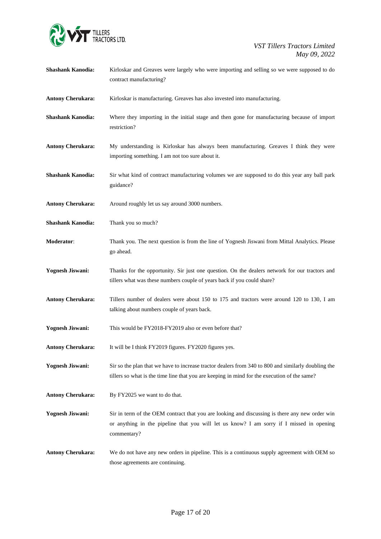

| <b>Shashank Kanodia:</b> | Kirloskar and Greaves were largely who were importing and selling so we were supposed to do<br>contract manufacturing?                                                                                    |
|--------------------------|-----------------------------------------------------------------------------------------------------------------------------------------------------------------------------------------------------------|
| <b>Antony Cherukara:</b> | Kirloskar is manufacturing. Greaves has also invested into manufacturing.                                                                                                                                 |
| <b>Shashank Kanodia:</b> | Where they importing in the initial stage and then gone for manufacturing because of import<br>restriction?                                                                                               |
| <b>Antony Cherukara:</b> | My understanding is Kirloskar has always been manufacturing. Greaves I think they were<br>importing something. I am not too sure about it.                                                                |
| <b>Shashank Kanodia:</b> | Sir what kind of contract manufacturing volumes we are supposed to do this year any ball park<br>guidance?                                                                                                |
| <b>Antony Cherukara:</b> | Around roughly let us say around 3000 numbers.                                                                                                                                                            |
| <b>Shashank Kanodia:</b> | Thank you so much?                                                                                                                                                                                        |
| Moderator:               | Thank you. The next question is from the line of Yognesh Jiswani from Mittal Analytics. Please<br>go ahead.                                                                                               |
| <b>Yognesh Jiswani:</b>  | Thanks for the opportunity. Sir just one question. On the dealers network for our tractors and<br>tillers what was these numbers couple of years back if you could share?                                 |
| <b>Antony Cherukara:</b> | Tillers number of dealers were about 150 to 175 and tractors were around 120 to 130, I am<br>talking about numbers couple of years back.                                                                  |
| <b>Yognesh Jiswani:</b>  | This would be FY2018-FY2019 also or even before that?                                                                                                                                                     |
| <b>Antony Cherukara:</b> | It will be I think FY2019 figures. FY2020 figures yes.                                                                                                                                                    |
| <b>Yognesh Jiswani:</b>  | Sir so the plan that we have to increase tractor dealers from 340 to 800 and similarly doubling the<br>tillers so what is the time line that you are keeping in mind for the execution of the same?       |
| <b>Antony Cherukara:</b> | By FY2025 we want to do that.                                                                                                                                                                             |
| <b>Yognesh Jiswani:</b>  | Sir in term of the OEM contract that you are looking and discussing is there any new order win<br>or anything in the pipeline that you will let us know? I am sorry if I missed in opening<br>commentary? |
| <b>Antony Cherukara:</b> | We do not have any new orders in pipeline. This is a continuous supply agreement with OEM so<br>those agreements are continuing.                                                                          |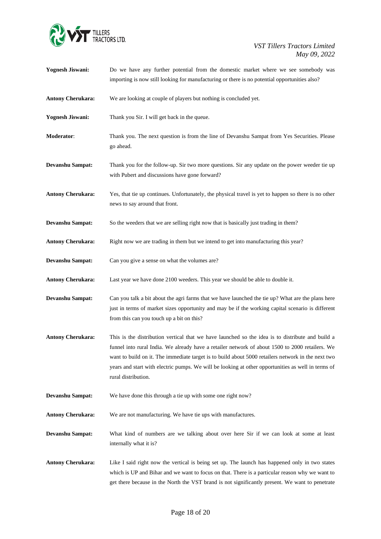

| <b>Yognesh Jiswani:</b>  | Do we have any further potential from the domestic market where we see somebody was<br>importing is now still looking for manufacturing or there is no potential opportunities also?                                                                                                                                                                                                                                                   |
|--------------------------|----------------------------------------------------------------------------------------------------------------------------------------------------------------------------------------------------------------------------------------------------------------------------------------------------------------------------------------------------------------------------------------------------------------------------------------|
| <b>Antony Cherukara:</b> | We are looking at couple of players but nothing is concluded yet.                                                                                                                                                                                                                                                                                                                                                                      |
| <b>Yognesh Jiswani:</b>  | Thank you Sir. I will get back in the queue.                                                                                                                                                                                                                                                                                                                                                                                           |
| Moderator:               | Thank you. The next question is from the line of Devanshu Sampat from Yes Securities. Please<br>go ahead.                                                                                                                                                                                                                                                                                                                              |
| <b>Devanshu Sampat:</b>  | Thank you for the follow-up. Sir two more questions. Sir any update on the power weeder tie up<br>with Pubert and discussions have gone forward?                                                                                                                                                                                                                                                                                       |
| <b>Antony Cherukara:</b> | Yes, that tie up continues. Unfortunately, the physical travel is yet to happen so there is no other<br>news to say around that front.                                                                                                                                                                                                                                                                                                 |
| <b>Devanshu Sampat:</b>  | So the weeders that we are selling right now that is basically just trading in them?                                                                                                                                                                                                                                                                                                                                                   |
| <b>Antony Cherukara:</b> | Right now we are trading in them but we intend to get into manufacturing this year?                                                                                                                                                                                                                                                                                                                                                    |
| <b>Devanshu Sampat:</b>  | Can you give a sense on what the volumes are?                                                                                                                                                                                                                                                                                                                                                                                          |
| <b>Antony Cherukara:</b> | Last year we have done 2100 weeders. This year we should be able to double it.                                                                                                                                                                                                                                                                                                                                                         |
| <b>Devanshu Sampat:</b>  | Can you talk a bit about the agri farms that we have launched the tie up? What are the plans here<br>just in terms of market sizes opportunity and may be if the working capital scenario is different<br>from this can you touch up a bit on this?                                                                                                                                                                                    |
| <b>Antony Cherukara:</b> | This is the distribution vertical that we have launched so the idea is to distribute and build a<br>funnel into rural India. We already have a retailer network of about 1500 to 2000 retailers. We<br>want to build on it. The immediate target is to build about 5000 retailers network in the next two<br>years and start with electric pumps. We will be looking at other opportunities as well in terms of<br>rural distribution. |
| <b>Devanshu Sampat:</b>  | We have done this through a tie up with some one right now?                                                                                                                                                                                                                                                                                                                                                                            |
| <b>Antony Cherukara:</b> | We are not manufacturing. We have tie ups with manufactures.                                                                                                                                                                                                                                                                                                                                                                           |
| <b>Devanshu Sampat:</b>  | What kind of numbers are we talking about over here Sir if we can look at some at least<br>internally what it is?                                                                                                                                                                                                                                                                                                                      |
| <b>Antony Cherukara:</b> | Like I said right now the vertical is being set up. The launch has happened only in two states<br>which is UP and Bihar and we want to focus on that. There is a particular reason why we want to<br>get there because in the North the VST brand is not significantly present. We want to penetrate                                                                                                                                   |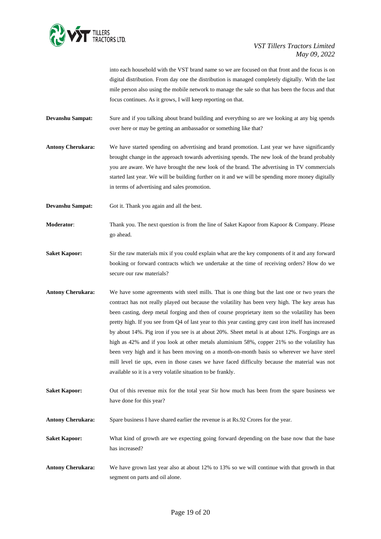

into each household with the VST brand name so we are focused on that front and the focus is on digital distribution. From day one the distribution is managed completely digitally. With the last mile person also using the mobile network to manage the sale so that has been the focus and that focus continues. As it grows, I will keep reporting on that.

- **Devanshu Sampat:** Sure and if you talking about brand building and everything so are we looking at any big spends over here or may be getting an ambassador or something like that?
- **Antony Cherukara:** We have started spending on advertising and brand promotion. Last year we have significantly brought change in the approach towards advertising spends. The new look of the brand probably you are aware. We have brought the new look of the brand. The advertising in TV commercials started last year. We will be building further on it and we will be spending more money digitally in terms of advertising and sales promotion.
- **Devanshu Sampat:** Got it. Thank you again and all the best.
- **Moderator:** Thank you. The next question is from the line of Saket Kapoor from Kapoor & Company. Please go ahead.
- **Saket Kapoor:** Sir the raw materials mix if you could explain what are the key components of it and any forward booking or forward contracts which we undertake at the time of receiving orders? How do we secure our raw materials?
- **Antony Cherukara:** We have some agreements with steel mills. That is one thing but the last one or two years the contract has not really played out because the volatility has been very high. The key areas has been casting, deep metal forging and then of course proprietary item so the volatility has been pretty high. If you see from Q4 of last year to this year casting grey cast iron itself has increased by about 14%. Pig iron if you see is at about 20%. Sheet metal is at about 12%. Forgings are as high as 42% and if you look at other metals aluminium 58%, copper 21% so the volatility has been very high and it has been moving on a month-on-month basis so wherever we have steel mill level tie ups, even in those cases we have faced difficulty because the material was not available so it is a very volatile situation to be frankly.
- **Saket Kapoor:** Out of this revenue mix for the total year Sir how much has been from the spare business we have done for this year?
- **Antony Cherukara:** Spare business I have shared earlier the revenue is at Rs.92 Crores for the year.
- **Saket Kapoor:** What kind of growth are we expecting going forward depending on the base now that the base has increased?
- **Antony Cherukara:** We have grown last year also at about 12% to 13% so we will continue with that growth in that segment on parts and oil alone.